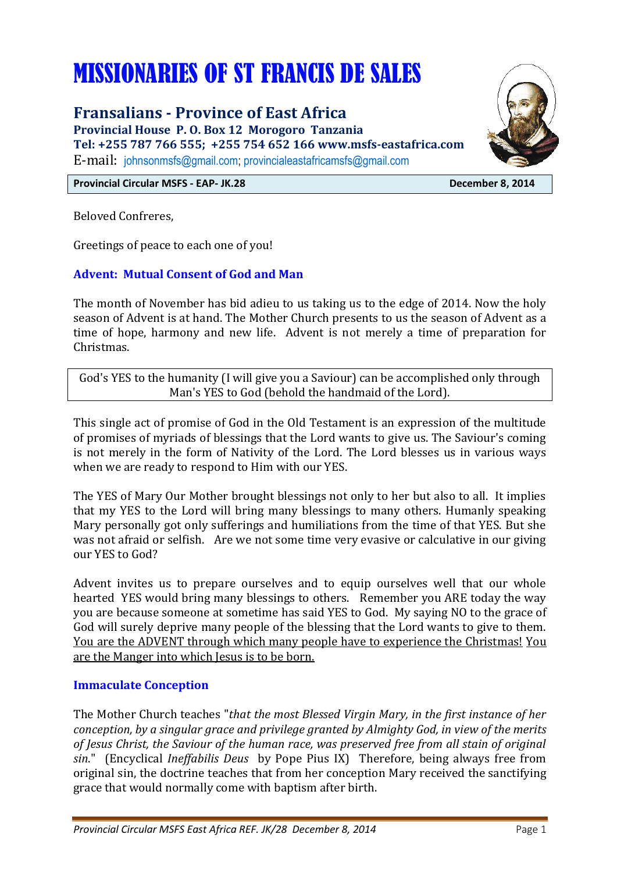# MISSIONARIES OF ST FRANCIS DE SALES

**Fransalians - Province of East Africa**

**Provincial House P. O. Box 12 Morogoro Tanzania Tel: +255 787 766 555; +255 754 652 166 www.msfs-eastafrica.com** E-mail: [johnsonmsfs@gmail.com;](mailto:johnsonmsfs@gmail.com) [provincialeastafricamsfs@gmail.com](mailto:provincialeastafricamsfs@gmail.com)



Beloved Confreres,

Greetings of peace to each one of you!

# **Advent: Mutual Consent of God and Man**

The month of November has bid adieu to us taking us to the edge of 2014. Now the holy season of Advent is at hand. The Mother Church presents to us the season of Advent as a time of hope, harmony and new life. Advent is not merely a time of preparation for Christmas.

God's YES to the humanity (I will give you a Saviour) can be accomplished only through Man's YES to God (behold the handmaid of the Lord).

This single act of promise of God in the Old Testament is an expression of the multitude of promises of myriads of blessings that the Lord wants to give us. The Saviour's coming is not merely in the form of Nativity of the Lord. The Lord blesses us in various ways when we are ready to respond to Him with our YES.

The YES of Mary Our Mother brought blessings not only to her but also to all. It implies that my YES to the Lord will bring many blessings to many others. Humanly speaking Mary personally got only sufferings and humiliations from the time of that YES. But she was not afraid or selfish. Are we not some time very evasive or calculative in our giving our YES to God?

Advent invites us to prepare ourselves and to equip ourselves well that our whole hearted YES would bring many blessings to others. Remember you ARE today the way you are because someone at sometime has said YES to God. My saying NO to the grace of God will surely deprive many people of the blessing that the Lord wants to give to them. You are the ADVENT through which many people have to experience the Christmas! You are the Manger into which Jesus is to be born.

#### **Immaculate Conception**

The Mother Church teaches "*that the most Blessed Virgin Mary, in the first instance of her conception, by a singular grace and privilege granted by Almighty God, in view of the merits of Jesus Christ, the Saviour of the human race, was preserved free from all stain of original sin*." (Encyclical *Ineffabilis Deus* by Pope Pius IX) Therefore, being always free from original sin, the doctrine teaches that from her conception Mary received the [sanctifying](http://en.wikipedia.org/wiki/Grace_(Christianity)#Sanctifying_grace)  [grace](http://en.wikipedia.org/wiki/Grace_(Christianity)#Sanctifying_grace) that would normally come with baptism after birth.

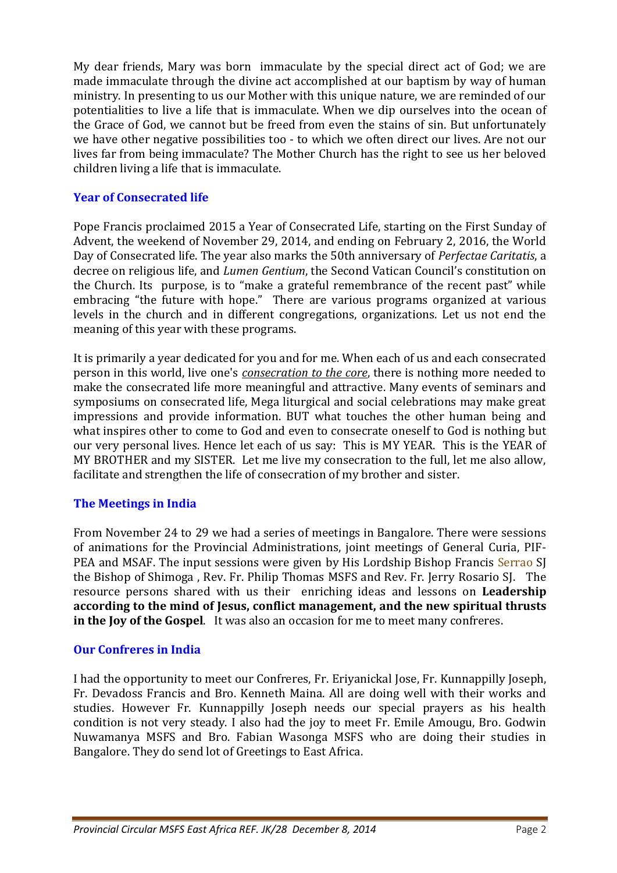My dear friends, Mary was born immaculate by the special direct act of God; we are made immaculate through the divine act accomplished at our baptism by way of human ministry. In presenting to us our Mother with this unique nature, we are reminded of our potentialities to live a life that is immaculate. When we dip ourselves into the ocean of the Grace of God, we cannot but be freed from even the stains of sin. But unfortunately we have other negative possibilities too - to which we often direct our lives. Are not our lives far from being immaculate? The Mother Church has the right to see us her beloved children living a life that is immaculate.

#### **Year of Consecrated life**

Pope Francis proclaimed 2015 a Year of Consecrated Life, starting on the First Sunday of Advent, the weekend of November 29, 2014, and ending on February 2, 2016, the World Day of Consecrated life. The year also marks the 50th anniversary of *Perfectae Caritatis*, a decree on religious life, and *Lumen Gentium*, the Second Vatican Council's constitution on the Church. Its purpose, is to "make a grateful remembrance of the recent past" while embracing "the future with hope." There are various programs organized at various levels in the church and in different congregations, organizations. Let us not end the meaning of this year with these programs.

It is primarily a year dedicated for you and for me. When each of us and each consecrated person in this world, live one's *consecration to the core*, there is nothing more needed to make the consecrated life more meaningful and attractive. Many events of seminars and symposiums on consecrated life, Mega liturgical and social celebrations may make great impressions and provide information. BUT what touches the other human being and what inspires other to come to God and even to consecrate oneself to God is nothing but our very personal lives. Hence let each of us say: This is MY YEAR. This is the YEAR of MY BROTHER and my SISTER. Let me live my consecration to the full, let me also allow, facilitate and strengthen the life of consecration of my brother and sister.

# **The Meetings in India**

From November 24 to 29 we had a series of meetings in Bangalore. There were sessions of animations for the Provincial Administrations, joint meetings of General Curia, PIF-PEA and MSAF. The input sessions were given by His Lordship Bishop Francis Serrao SJ the Bishop of Shimoga , Rev. Fr. Philip Thomas MSFS and Rev. Fr. Jerry Rosario SJ. The resource persons shared with us their enriching ideas and lessons on **Leadership according to the mind of Jesus, conflict management, and the new spiritual thrusts in the Joy of the Gospel**. It was also an occasion for me to meet many confreres.

# **Our Confreres in India**

I had the opportunity to meet our Confreres, Fr. Eriyanickal Jose, Fr. Kunnappilly Joseph, Fr. Devadoss Francis and Bro. Kenneth Maina. All are doing well with their works and studies. However Fr. Kunnappilly Joseph needs our special prayers as his health condition is not very steady. I also had the joy to meet Fr. Emile Amougu, Bro. Godwin Nuwamanya MSFS and Bro. Fabian Wasonga MSFS who are doing their studies in Bangalore. They do send lot of Greetings to East Africa.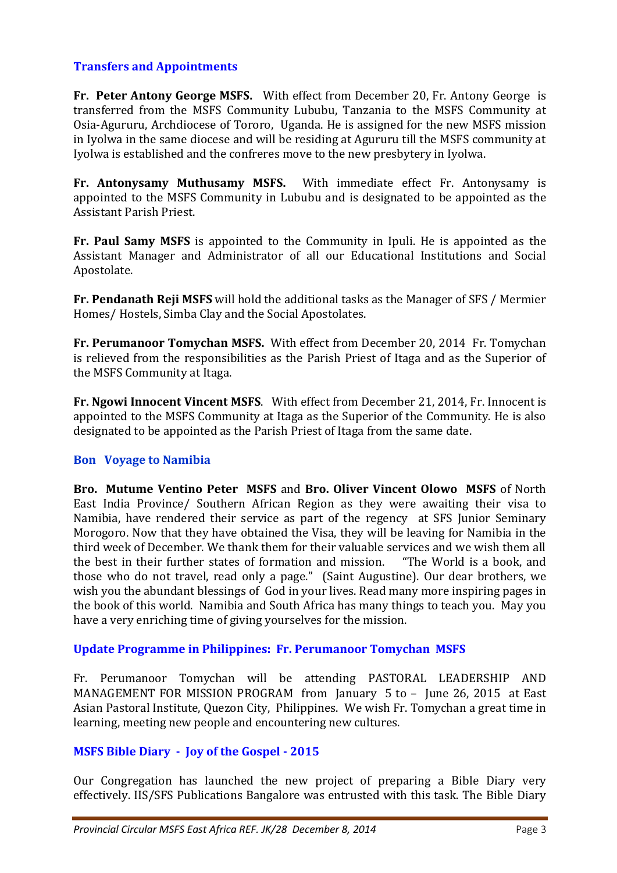# **Transfers and Appointments**

**Fr. Peter Antony George MSFS.** With effect from December 20, Fr. Antony George is transferred from the MSFS Community Lububu, Tanzania to the MSFS Community at Osia-Agururu, Archdiocese of Tororo, Uganda. He is assigned for the new MSFS mission in Iyolwa in the same diocese and will be residing at Agururu till the MSFS community at Iyolwa is established and the confreres move to the new presbytery in Iyolwa.

**Fr. Antonysamy Muthusamy MSFS.** With immediate effect Fr. Antonysamy is appointed to the MSFS Community in Lububu and is designated to be appointed as the Assistant Parish Priest.

**Fr. Paul Samy MSFS** is appointed to the Community in Ipuli. He is appointed as the Assistant Manager and Administrator of all our Educational Institutions and Social Apostolate.

**Fr. Pendanath Reji MSFS** will hold the additional tasks as the Manager of SFS / Mermier Homes/ Hostels, Simba Clay and the Social Apostolates.

**Fr. Perumanoor Tomychan MSFS.** With effect from December 20, 2014 Fr. Tomychan is relieved from the responsibilities as the Parish Priest of Itaga and as the Superior of the MSFS Community at Itaga.

**Fr. Ngowi Innocent Vincent MSFS**. With effect from December 21, 2014, Fr. Innocent is appointed to the MSFS Community at Itaga as the Superior of the Community. He is also designated to be appointed as the Parish Priest of Itaga from the same date.

#### **Bon Voyage to Namibia**

**Bro. Mutume Ventino Peter MSFS** and **Bro. Oliver Vincent Olowo MSFS** of North East India Province/ Southern African Region as they were awaiting their visa to Namibia, have rendered their service as part of the regency at SFS Junior Seminary Morogoro. Now that they have obtained the Visa, they will be leaving for Namibia in the third week of December. We thank them for their valuable services and we wish them all the best in their further states of formation and mission. "The World is a book, and those who do not travel, read only a page." (Saint Augustine). Our dear brothers, we wish you the abundant blessings of God in your lives. Read many more inspiring pages in the book of this world. Namibia and South Africa has many things to teach you. May you have a very enriching time of giving yourselves for the mission.

#### **Update Programme in Philippines: Fr. Perumanoor Tomychan MSFS**

Fr. Perumanoor Tomychan will be attending PASTORAL LEADERSHIP AND MANAGEMENT FOR MISSION PROGRAM from January 5 to – June 26, 2015 at East Asian Pastoral Institute, Quezon City, Philippines. We wish Fr. Tomychan a great time in learning, meeting new people and encountering new cultures.

# **MSFS Bible Diary - Joy of the Gospel - 2015**

Our Congregation has launched the new project of preparing a Bible Diary very effectively. IIS/SFS Publications Bangalore was entrusted with this task. The Bible Diary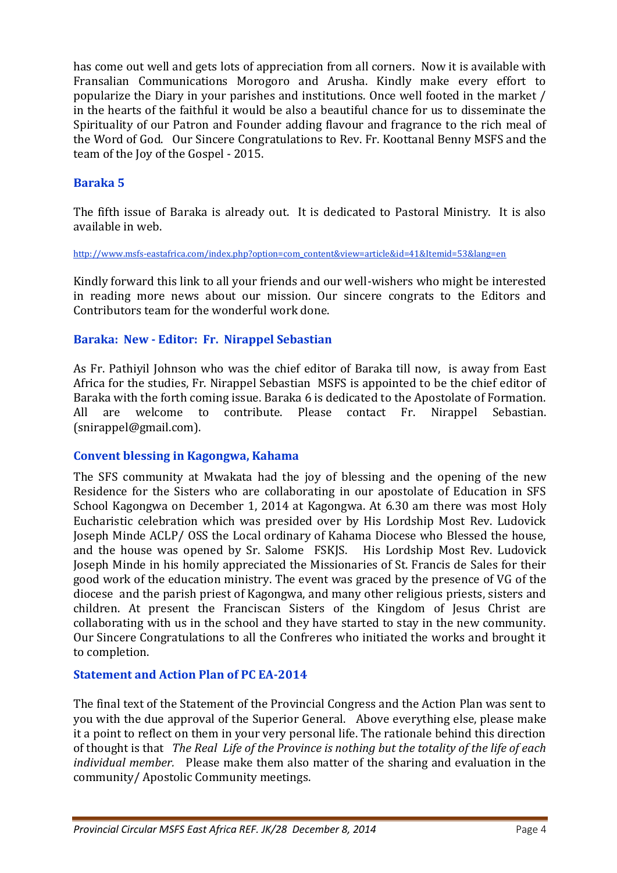has come out well and gets lots of appreciation from all corners. Now it is available with Fransalian Communications Morogoro and Arusha. Kindly make every effort to popularize the Diary in your parishes and institutions. Once well footed in the market / in the hearts of the faithful it would be also a beautiful chance for us to disseminate the Spirituality of our Patron and Founder adding flavour and fragrance to the rich meal of the Word of God. Our Sincere Congratulations to Rev. Fr. Koottanal Benny MSFS and the team of the Joy of the Gospel - 2015.

# **Baraka 5**

The fifth issue of Baraka is already out. It is dedicated to Pastoral Ministry. It is also available in web.

http://www.msfs-eastafrica.com/index.php?option=com\_content&view=article&id=41&Itemid=53&lang=en

Kindly forward this link to all your friends and our well-wishers who might be interested in reading more news about our mission. Our sincere congrats to the Editors and Contributors team for the wonderful work done.

# **Baraka: New - Editor: Fr. Nirappel Sebastian**

As Fr. Pathiyil Johnson who was the chief editor of Baraka till now, is away from East Africa for the studies, Fr. Nirappel Sebastian MSFS is appointed to be the chief editor of Baraka with the forth coming issue. Baraka 6 is dedicated to the Apostolate of Formation. All are welcome to contribute. Please contact Fr. Nirappel Sebastian. (snirappel@gmail.com).

#### **Convent blessing in Kagongwa, Kahama**

The SFS community at Mwakata had the joy of blessing and the opening of the new Residence for the Sisters who are collaborating in our apostolate of Education in SFS School Kagongwa on December 1, 2014 at Kagongwa. At 6.30 am there was most Holy Eucharistic celebration which was presided over by His Lordship Most Rev. Ludovick Joseph Minde ACLP/ OSS the Local ordinary of Kahama Diocese who Blessed the house, and the house was opened by Sr. Salome FSKJS. His Lordship Most Rev. Ludovick Joseph Minde in his homily appreciated the Missionaries of St. Francis de Sales for their good work of the education ministry. The event was graced by the presence of VG of the diocese and the parish priest of Kagongwa, and many other religious priests, sisters and children. At present the Franciscan Sisters of the Kingdom of Jesus Christ are collaborating with us in the school and they have started to stay in the new community. Our Sincere Congratulations to all the Confreres who initiated the works and brought it to completion.

# **Statement and Action Plan of PC EA-2014**

The final text of the Statement of the Provincial Congress and the Action Plan was sent to you with the due approval of the Superior General. Above everything else, please make it a point to reflect on them in your very personal life. The rationale behind this direction of thought is that *The Real Life of the Province is nothing but the totality of the life of each individual member.* Please make them also matter of the sharing and evaluation in the community/ Apostolic Community meetings.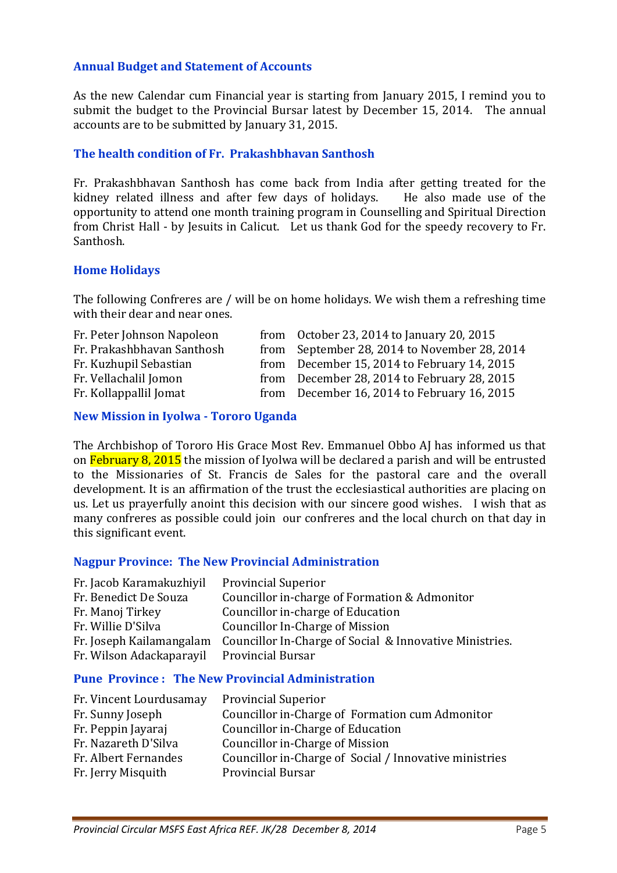#### **Annual Budget and Statement of Accounts**

As the new Calendar cum Financial year is starting from January 2015, I remind you to submit the budget to the Provincial Bursar latest by December 15, 2014. The annual accounts are to be submitted by January 31, 2015.

#### **The health condition of Fr. Prakashbhavan Santhosh**

Fr. Prakashbhavan Santhosh has come back from India after getting treated for the kidney related illness and after few days of holidays. He also made use of the opportunity to attend one month training program in Counselling and Spiritual Direction from Christ Hall - by Jesuits in Calicut. Let us thank God for the speedy recovery to Fr. Santhosh.

#### **Home Holidays**

The following Confreres are / will be on home holidays. We wish them a refreshing time with their dear and near ones.

| Fr. Peter Johnson Napoleon | from October 23, 2014 to January 20, 2015    |
|----------------------------|----------------------------------------------|
| Fr. Prakashbhavan Santhosh | from September 28, 2014 to November 28, 2014 |
| Fr. Kuzhupil Sebastian     | from December 15, 2014 to February 14, 2015  |
| Fr. Vellachalil Jomon      | from December 28, 2014 to February 28, 2015  |
| Fr. Kollappallil Jomat     | from December 16, 2014 to February 16, 2015  |

#### **New Mission in Iyolwa - Tororo Uganda**

The Archbishop of Tororo His Grace Most Rev. Emmanuel Obbo AJ has informed us that on February 8, 2015 the mission of Iyolwa will be declared a parish and will be entrusted to the Missionaries of St. Francis de Sales for the pastoral care and the overall development. It is an affirmation of the trust the ecclesiastical authorities are placing on us. Let us prayerfully anoint this decision with our sincere good wishes. I wish that as many confreres as possible could join our confreres and the local church on that day in this significant event.

#### **Nagpur Province: The New Provincial Administration**

| Fr. Jacob Karamakuzhiyil | <b>Provincial Superior</b>                              |
|--------------------------|---------------------------------------------------------|
| Fr. Benedict De Souza    | Councillor in-charge of Formation & Admonitor           |
| Fr. Manoj Tirkey         | Councillor in-charge of Education                       |
| Fr. Willie D'Silva       | Councillor In-Charge of Mission                         |
| Fr. Joseph Kailamangalam | Councillor In-Charge of Social & Innovative Ministries. |
| Fr. Wilson Adackaparayil | <b>Provincial Bursar</b>                                |
|                          |                                                         |

#### **Pune Province : The New Provincial Administration**

| Fr. Vincent Lourdusamay | <b>Provincial Superior</b>                             |
|-------------------------|--------------------------------------------------------|
| Fr. Sunny Joseph        | Councillor in-Charge of Formation cum Admonitor        |
| Fr. Peppin Jayaraj      | Councillor in-Charge of Education                      |
| Fr. Nazareth D'Silva    | Councillor in-Charge of Mission                        |
| Fr. Albert Fernandes    | Councillor in-Charge of Social / Innovative ministries |
| Fr. Jerry Misquith      | <b>Provincial Bursar</b>                               |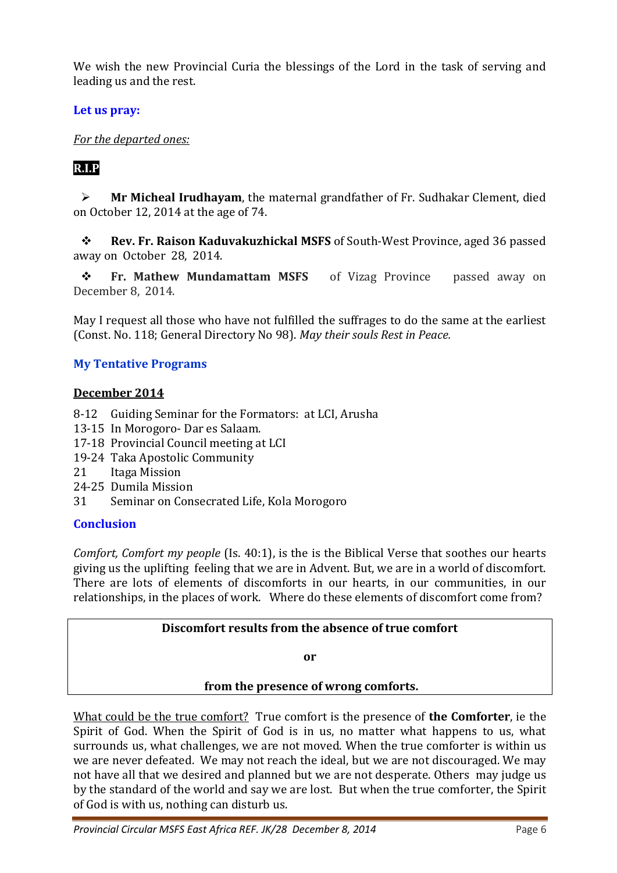We wish the new Provincial Curia the blessings of the Lord in the task of serving and leading us and the rest.

**Let us pray:** 

*For the departed ones:* 

# **R.I.P**

 **Mr Micheal Irudhayam**, the maternal grandfather of Fr. Sudhakar Clement, died on October 12, 2014 at the age of 74.

 **Rev. Fr. Raison Kaduvakuzhickal MSFS** of South-West Province, aged 36 passed away on October 28, 2014.

**Fr. Mathew Mundamattam MSFS** of Vizag Province passed away on December 8, 2014.

May I request all those who have not fulfilled the suffrages to do the same at the earliest (Const. No. 118; General Directory No 98). *May their souls Rest in Peace.*

# **My Tentative Programs**

# **December 2014**

- 8-12 Guiding Seminar for the Formators: at LCI, Arusha
- 13-15 In Morogoro- Dar es Salaam.
- 17-18 Provincial Council meeting at LCI
- 19-24 Taka Apostolic Community
- 21 Itaga Mission
- 24-25 Dumila Mission
- 31 Seminar on Consecrated Life, Kola Morogoro

# **Conclusion**

*Comfort, Comfort my people* (Is. 40:1), is the is the Biblical Verse that soothes our hearts giving us the uplifting feeling that we are in Advent. But, we are in a world of discomfort. There are lots of elements of discomforts in our hearts, in our communities, in our relationships, in the places of work. Where do these elements of discomfort come from?

# **Discomfort results from the absence of true comfort**

**or**

# **from the presence of wrong comforts.**

What could be the true comfort? True comfort is the presence of **the Comforter**, ie the Spirit of God. When the Spirit of God is in us, no matter what happens to us, what surrounds us, what challenges, we are not moved. When the true comforter is within us we are never defeated. We may not reach the ideal, but we are not discouraged. We may not have all that we desired and planned but we are not desperate. Others may judge us by the standard of the world and say we are lost. But when the true comforter, the Spirit of God is with us, nothing can disturb us.